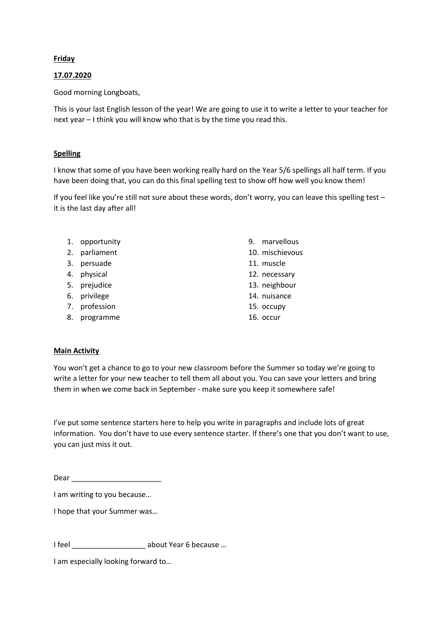## **Friday**

## 17.07.2020

Good morning Longboats,

This is your last English lesson of the year! We are going to use it to write a letter to your teacher for next year – I think you will know who that is by the time you read this.

## Spelling

I know that some of you have been working really hard on the Year 5/6 spellings all half term. If you have been doing that, you can do this final spelling test to show off how well you know them!

If you feel like you're still not sure about these words, don't worry, you can leave this spelling test – it is the last day after all!

- 1. opportunity 2. parliament 3. persuade 4. physical 5. prejudice 6. privilege
- 7. profession
- 8. programme
- 9. marvellous
- 10. mischievous
- 11. muscle
- 12. necessary
- 13. neighbour
- 14. nuisance
- 15. occupy
- 16. occur

## Main Activity

You won't get a chance to go to your new classroom before the Summer so today we're going to write a letter for your new teacher to tell them all about you. You can save your letters and bring them in when we come back in September - make sure you keep it somewhere safe!

I've put some sentence starters here to help you write in paragraphs and include lots of great information. You don't have to use every sentence starter. If there's one that you don't want to use, you can just miss it out.

Dear \_\_\_\_\_\_\_\_\_\_\_\_\_\_\_\_\_\_\_\_\_\_

I am writing to you because…

I hope that your Summer was…

I feel \_\_\_\_\_\_\_\_\_\_\_\_\_\_\_\_\_\_ about Year 6 because …

I am especially looking forward to…